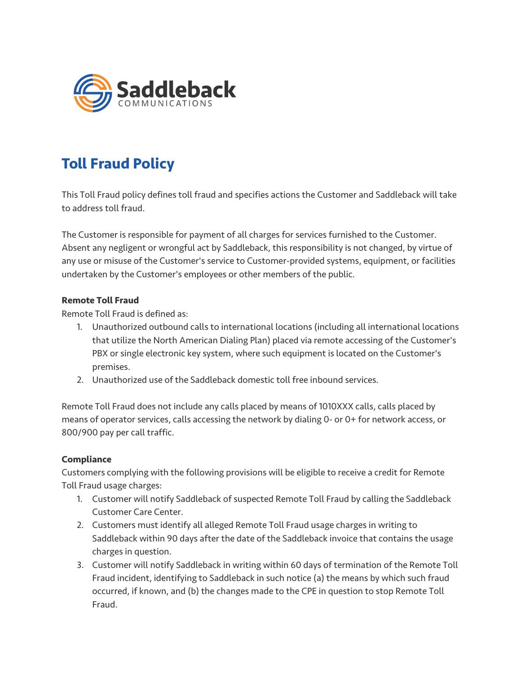

## **Toll Fraud Policy**

This Toll Fraud policy defines toll fraud and specifies actions the Customer and Saddleback will take to address toll fraud.

The Customer is responsible for payment of all charges for services furnished to the Customer. Absent any negligent or wrongful act by Saddleback, this responsibility is not changed, by virtue of any use or misuse of the Customer's service to Customer-provided systems, equipment, or facilities undertaken by the Customer's employees or other members of the public.

## **Remote Toll Fraud**

Remote Toll Fraud is defined as:

- 1. Unauthorized outbound calls to international locations (including all international locations that utilize the North American Dialing Plan) placed via remote accessing of the Customer's PBX or single electronic key system, where such equipment is located on the Customer's premises.
- 2. Unauthorized use of the Saddleback domestic toll free inbound services.

Remote Toll Fraud does not include any calls placed by means of 1010XXX calls, calls placed by means of operator services, calls accessing the network by dialing 0- or 0+ for network access, or 800/900 pay per call traffic.

## **Compliance**

Customers complying with the following provisions will be eligible to receive a credit for Remote Toll Fraud usage charges:

- 1. Customer will notify Saddleback of suspected Remote Toll Fraud by calling the Saddleback Customer Care Center.
- 2. Customers must identify all alleged Remote Toll Fraud usage charges in writing to Saddleback within 90 days after the date of the Saddleback invoice that contains the usage charges in question.
- 3. Customer will notify Saddleback in writing within 60 days of termination of the Remote Toll Fraud incident, identifying to Saddleback in such notice (a) the means by which such fraud occurred, if known, and (b) the changes made to the CPE in question to stop Remote Toll Fraud.